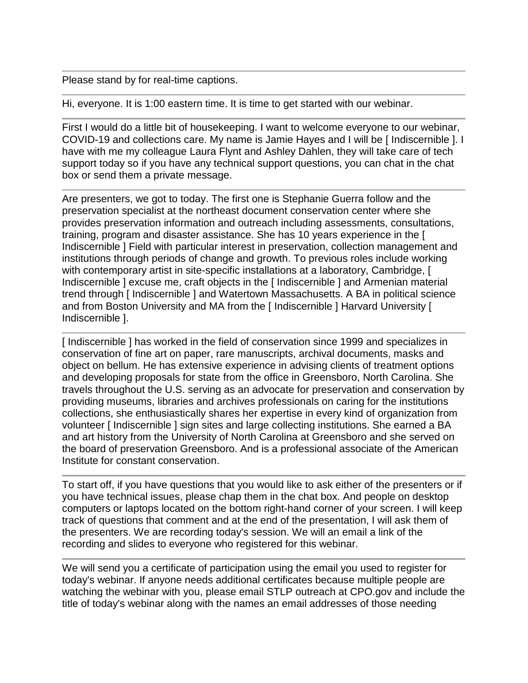Please stand by for real-time captions.

Hi, everyone. It is 1:00 eastern time. It is time to get started with our webinar.

First I would do a little bit of housekeeping. I want to welcome everyone to our webinar, COVID-19 and collections care. My name is Jamie Hayes and I will be [ Indiscernible ]. I have with me my colleague Laura Flynt and Ashley Dahlen, they will take care of tech support today so if you have any technical support questions, you can chat in the chat box or send them a private message.

Are presenters, we got to today. The first one is Stephanie Guerra follow and the preservation specialist at the northeast document conservation center where she provides preservation information and outreach including assessments, consultations, training, program and disaster assistance. She has 10 years experience in the [ Indiscernible ] Field with particular interest in preservation, collection management and institutions through periods of change and growth. To previous roles include working with contemporary artist in site-specific installations at a laboratory, Cambridge, [ Indiscernible ] excuse me, craft objects in the [ Indiscernible ] and Armenian material trend through [ Indiscernible ] and Watertown Massachusetts. A BA in political science and from Boston University and MA from the [ Indiscernible ] Harvard University [ Indiscernible ].

[Indiscernible ] has worked in the field of conservation since 1999 and specializes in conservation of fine art on paper, rare manuscripts, archival documents, masks and object on bellum. He has extensive experience in advising clients of treatment options and developing proposals for state from the office in Greensboro, North Carolina. She travels throughout the U.S. serving as an advocate for preservation and conservation by providing museums, libraries and archives professionals on caring for the institutions collections, she enthusiastically shares her expertise in every kind of organization from volunteer [ Indiscernible ] sign sites and large collecting institutions. She earned a BA and art history from the University of North Carolina at Greensboro and she served on the board of preservation Greensboro. And is a professional associate of the American Institute for constant conservation.

To start off, if you have questions that you would like to ask either of the presenters or if you have technical issues, please chap them in the chat box. And people on desktop computers or laptops located on the bottom right-hand corner of your screen. I will keep track of questions that comment and at the end of the presentation, I will ask them of the presenters. We are recording today's session. We will an email a link of the recording and slides to everyone who registered for this webinar.

We will send you a certificate of participation using the email you used to register for today's webinar. If anyone needs additional certificates because multiple people are watching the webinar with you, please email STLP outreach at CPO.gov and include the title of today's webinar along with the names an email addresses of those needing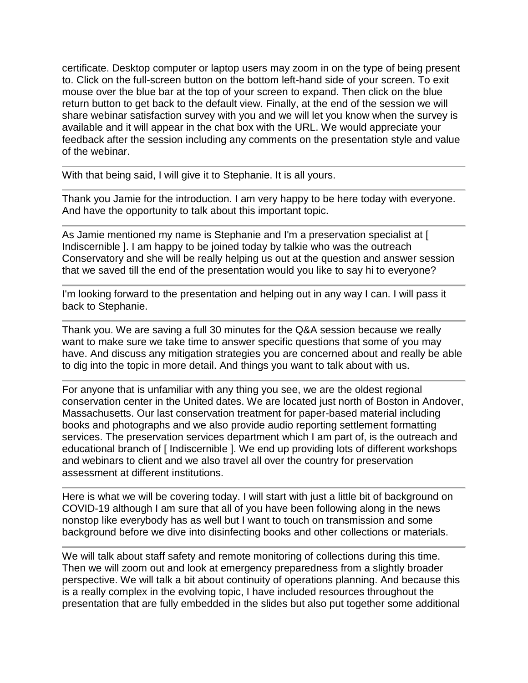certificate. Desktop computer or laptop users may zoom in on the type of being present to. Click on the full-screen button on the bottom left-hand side of your screen. To exit mouse over the blue bar at the top of your screen to expand. Then click on the blue return button to get back to the default view. Finally, at the end of the session we will share webinar satisfaction survey with you and we will let you know when the survey is available and it will appear in the chat box with the URL. We would appreciate your feedback after the session including any comments on the presentation style and value of the webinar.

With that being said, I will give it to Stephanie. It is all yours.

Thank you Jamie for the introduction. I am very happy to be here today with everyone. And have the opportunity to talk about this important topic.

As Jamie mentioned my name is Stephanie and I'm a preservation specialist at [ Indiscernible ]. I am happy to be joined today by talkie who was the outreach Conservatory and she will be really helping us out at the question and answer session that we saved till the end of the presentation would you like to say hi to everyone?

I'm looking forward to the presentation and helping out in any way I can. I will pass it back to Stephanie.

Thank you. We are saving a full 30 minutes for the Q&A session because we really want to make sure we take time to answer specific questions that some of you may have. And discuss any mitigation strategies you are concerned about and really be able to dig into the topic in more detail. And things you want to talk about with us.

For anyone that is unfamiliar with any thing you see, we are the oldest regional conservation center in the United dates. We are located just north of Boston in Andover, Massachusetts. Our last conservation treatment for paper-based material including books and photographs and we also provide audio reporting settlement formatting services. The preservation services department which I am part of, is the outreach and educational branch of [ Indiscernible ]. We end up providing lots of different workshops and webinars to client and we also travel all over the country for preservation assessment at different institutions.

Here is what we will be covering today. I will start with just a little bit of background on COVID-19 although I am sure that all of you have been following along in the news nonstop like everybody has as well but I want to touch on transmission and some background before we dive into disinfecting books and other collections or materials.

We will talk about staff safety and remote monitoring of collections during this time. Then we will zoom out and look at emergency preparedness from a slightly broader perspective. We will talk a bit about continuity of operations planning. And because this is a really complex in the evolving topic, I have included resources throughout the presentation that are fully embedded in the slides but also put together some additional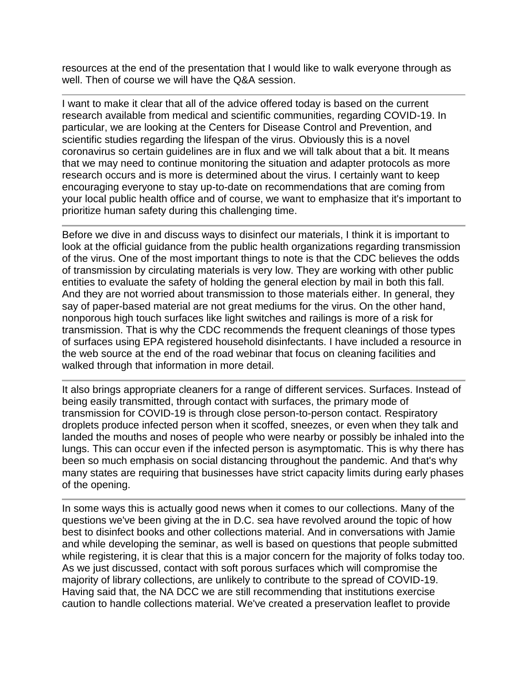resources at the end of the presentation that I would like to walk everyone through as well. Then of course we will have the Q&A session.

I want to make it clear that all of the advice offered today is based on the current research available from medical and scientific communities, regarding COVID-19. In particular, we are looking at the Centers for Disease Control and Prevention, and scientific studies regarding the lifespan of the virus. Obviously this is a novel coronavirus so certain guidelines are in flux and we will talk about that a bit. It means that we may need to continue monitoring the situation and adapter protocols as more research occurs and is more is determined about the virus. I certainly want to keep encouraging everyone to stay up-to-date on recommendations that are coming from your local public health office and of course, we want to emphasize that it's important to prioritize human safety during this challenging time.

Before we dive in and discuss ways to disinfect our materials, I think it is important to look at the official guidance from the public health organizations regarding transmission of the virus. One of the most important things to note is that the CDC believes the odds of transmission by circulating materials is very low. They are working with other public entities to evaluate the safety of holding the general election by mail in both this fall. And they are not worried about transmission to those materials either. In general, they say of paper-based material are not great mediums for the virus. On the other hand, nonporous high touch surfaces like light switches and railings is more of a risk for transmission. That is why the CDC recommends the frequent cleanings of those types of surfaces using EPA registered household disinfectants. I have included a resource in the web source at the end of the road webinar that focus on cleaning facilities and walked through that information in more detail.

It also brings appropriate cleaners for a range of different services. Surfaces. Instead of being easily transmitted, through contact with surfaces, the primary mode of transmission for COVID-19 is through close person-to-person contact. Respiratory droplets produce infected person when it scoffed, sneezes, or even when they talk and landed the mouths and noses of people who were nearby or possibly be inhaled into the lungs. This can occur even if the infected person is asymptomatic. This is why there has been so much emphasis on social distancing throughout the pandemic. And that's why many states are requiring that businesses have strict capacity limits during early phases of the opening.

In some ways this is actually good news when it comes to our collections. Many of the questions we've been giving at the in D.C. sea have revolved around the topic of how best to disinfect books and other collections material. And in conversations with Jamie and while developing the seminar, as well is based on questions that people submitted while registering, it is clear that this is a major concern for the majority of folks today too. As we just discussed, contact with soft porous surfaces which will compromise the majority of library collections, are unlikely to contribute to the spread of COVID-19. Having said that, the NA DCC we are still recommending that institutions exercise caution to handle collections material. We've created a preservation leaflet to provide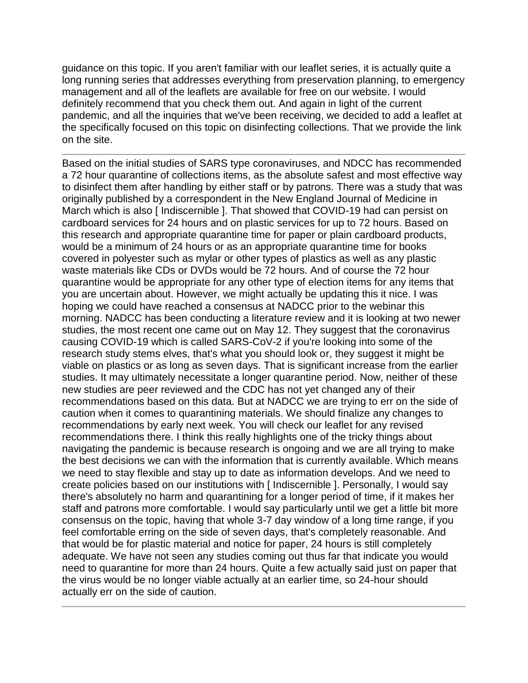guidance on this topic. If you aren't familiar with our leaflet series, it is actually quite a long running series that addresses everything from preservation planning, to emergency management and all of the leaflets are available for free on our website. I would definitely recommend that you check them out. And again in light of the current pandemic, and all the inquiries that we've been receiving, we decided to add a leaflet at the specifically focused on this topic on disinfecting collections. That we provide the link on the site.

Based on the initial studies of SARS type coronaviruses, and NDCC has recommended a 72 hour quarantine of collections items, as the absolute safest and most effective way to disinfect them after handling by either staff or by patrons. There was a study that was originally published by a correspondent in the New England Journal of Medicine in March which is also [ Indiscernible ]. That showed that COVID-19 had can persist on cardboard services for 24 hours and on plastic services for up to 72 hours. Based on this research and appropriate quarantine time for paper or plain cardboard products, would be a minimum of 24 hours or as an appropriate quarantine time for books covered in polyester such as mylar or other types of plastics as well as any plastic waste materials like CDs or DVDs would be 72 hours. And of course the 72 hour quarantine would be appropriate for any other type of election items for any items that you are uncertain about. However, we might actually be updating this it nice. I was hoping we could have reached a consensus at NADCC prior to the webinar this morning. NADCC has been conducting a literature review and it is looking at two newer studies, the most recent one came out on May 12. They suggest that the coronavirus causing COVID-19 which is called SARS-CoV-2 if you're looking into some of the research study stems elves, that's what you should look or, they suggest it might be viable on plastics or as long as seven days. That is significant increase from the earlier studies. It may ultimately necessitate a longer quarantine period. Now, neither of these new studies are peer reviewed and the CDC has not yet changed any of their recommendations based on this data. But at NADCC we are trying to err on the side of caution when it comes to quarantining materials. We should finalize any changes to recommendations by early next week. You will check our leaflet for any revised recommendations there. I think this really highlights one of the tricky things about navigating the pandemic is because research is ongoing and we are all trying to make the best decisions we can with the information that is currently available. Which means we need to stay flexible and stay up to date as information develops. And we need to create policies based on our institutions with [ Indiscernible ]. Personally, I would say there's absolutely no harm and quarantining for a longer period of time, if it makes her staff and patrons more comfortable. I would say particularly until we get a little bit more consensus on the topic, having that whole 3-7 day window of a long time range, if you feel comfortable erring on the side of seven days, that's completely reasonable. And that would be for plastic material and notice for paper, 24 hours is still completely adequate. We have not seen any studies coming out thus far that indicate you would need to quarantine for more than 24 hours. Quite a few actually said just on paper that the virus would be no longer viable actually at an earlier time, so 24-hour should actually err on the side of caution.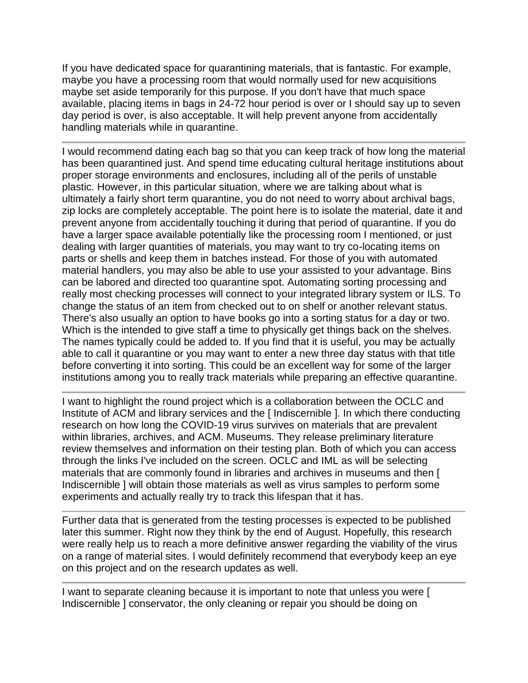If you have dedicated space for quarantining materials, that is fantastic. For example, maybe you have a processing room that would normally used for new acquisitions maybe set aside temporarily for this purpose. If you don't have that much space available, placing items in bags in 24-72 hour period is over or I should say up to seven day period is over, is also acceptable. It will help prevent anyone from accidentally handling materials while in quarantine.

I would recommend dating each bag so that you can keep track of how long the material has been quarantined just. And spend time educating cultural heritage institutions about proper storage environments and enclosures, including all of the perils of unstable plastic. However, in this particular situation, where we are talking about what is ultimately a fairly short term quarantine, you do not need to worry about archival bags, zip locks are completely acceptable. The point here is to isolate the material, date it and prevent anyone from accidentally touching it during that period of quarantine. If you do have a larger space available potentially like the processing room I mentioned, or just dealing with larger quantities of materials, you may want to try co-locating items on parts or shells and keep them in batches instead. For those of you with automated material handlers, you may also be able to use your assisted to your advantage. Bins can be labored and directed too quarantine spot. Automating sorting processing and really most checking processes will connect to your integrated library system or ILS. To change the status of an item from checked out to on shelf or another relevant status. There's also usually an option to have books go into a sorting status for a day or two. Which is the intended to give staff a time to physically get things back on the shelves. The names typically could be added to. If you find that it is useful, you may be actually able to call it quarantine or you may want to enter a new three day status with that title before converting it into sorting. This could be an excellent way for some of the larger institutions among you to really track materials while preparing an effective quarantine.

I want to highlight the round project which is a collaboration between the OCLC and Institute of ACM and library services and the [ Indiscernible ]. In which there conducting research on how long the COVID-19 virus survives on materials that are prevalent within libraries, archives, and ACM. Museums. They release preliminary literature review themselves and information on their testing plan. Both of which you can access through the links I've included on the screen. OCLC and IML as will be selecting materials that are commonly found in libraries and archives in museums and then [ Indiscernible ] will obtain those materials as well as virus samples to perform some experiments and actually really try to track this lifespan that it has.

Further data that is generated from the testing processes is expected to be published later this summer. Right now they think by the end of August. Hopefully, this research were really help us to reach a more definitive answer regarding the viability of the virus on a range of material sites. I would definitely recommend that everybody keep an eye on this project and on the research updates as well.

I want to separate cleaning because it is important to note that unless you were [ Indiscernible ] conservator, the only cleaning or repair you should be doing on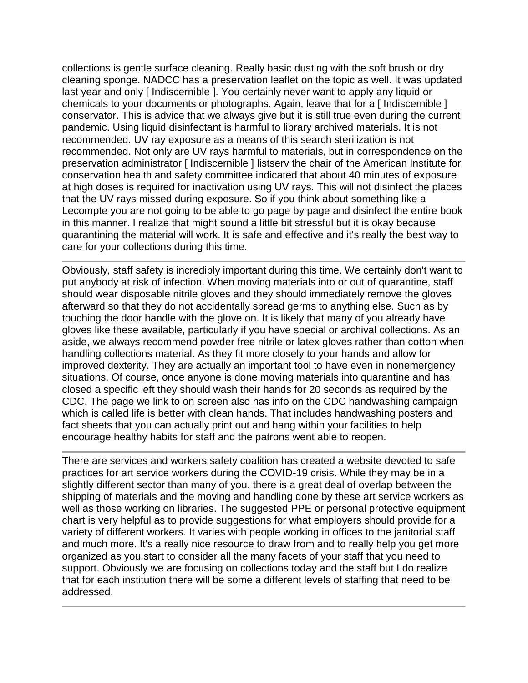collections is gentle surface cleaning. Really basic dusting with the soft brush or dry cleaning sponge. NADCC has a preservation leaflet on the topic as well. It was updated last year and only [ Indiscernible ]. You certainly never want to apply any liquid or chemicals to your documents or photographs. Again, leave that for a [ Indiscernible ] conservator. This is advice that we always give but it is still true even during the current pandemic. Using liquid disinfectant is harmful to library archived materials. It is not recommended. UV ray exposure as a means of this search sterilization is not recommended. Not only are UV rays harmful to materials, but in correspondence on the preservation administrator [ Indiscernible ] listserv the chair of the American Institute for conservation health and safety committee indicated that about 40 minutes of exposure at high doses is required for inactivation using UV rays. This will not disinfect the places that the UV rays missed during exposure. So if you think about something like a Lecompte you are not going to be able to go page by page and disinfect the entire book in this manner. I realize that might sound a little bit stressful but it is okay because quarantining the material will work. It is safe and effective and it's really the best way to care for your collections during this time.

Obviously, staff safety is incredibly important during this time. We certainly don't want to put anybody at risk of infection. When moving materials into or out of quarantine, staff should wear disposable nitrile gloves and they should immediately remove the gloves afterward so that they do not accidentally spread germs to anything else. Such as by touching the door handle with the glove on. It is likely that many of you already have gloves like these available, particularly if you have special or archival collections. As an aside, we always recommend powder free nitrile or latex gloves rather than cotton when handling collections material. As they fit more closely to your hands and allow for improved dexterity. They are actually an important tool to have even in nonemergency situations. Of course, once anyone is done moving materials into quarantine and has closed a specific left they should wash their hands for 20 seconds as required by the CDC. The page we link to on screen also has info on the CDC handwashing campaign which is called life is better with clean hands. That includes handwashing posters and fact sheets that you can actually print out and hang within your facilities to help encourage healthy habits for staff and the patrons went able to reopen.

There are services and workers safety coalition has created a website devoted to safe practices for art service workers during the COVID-19 crisis. While they may be in a slightly different sector than many of you, there is a great deal of overlap between the shipping of materials and the moving and handling done by these art service workers as well as those working on libraries. The suggested PPE or personal protective equipment chart is very helpful as to provide suggestions for what employers should provide for a variety of different workers. It varies with people working in offices to the janitorial staff and much more. It's a really nice resource to draw from and to really help you get more organized as you start to consider all the many facets of your staff that you need to support. Obviously we are focusing on collections today and the staff but I do realize that for each institution there will be some a different levels of staffing that need to be addressed.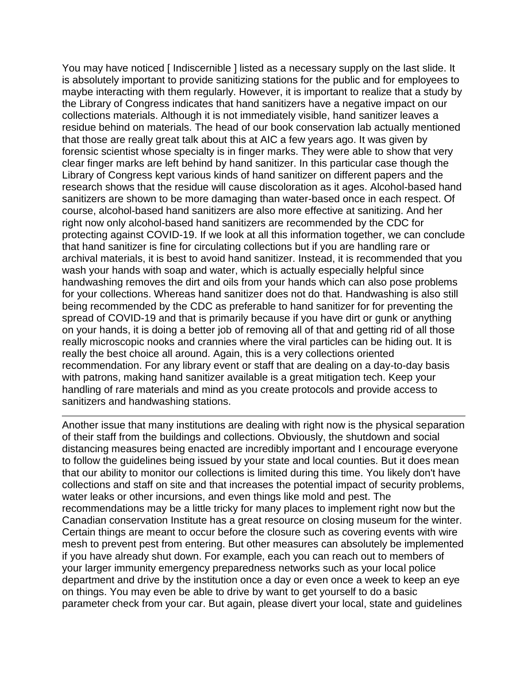You may have noticed [Indiscernible ] listed as a necessary supply on the last slide. It is absolutely important to provide sanitizing stations for the public and for employees to maybe interacting with them regularly. However, it is important to realize that a study by the Library of Congress indicates that hand sanitizers have a negative impact on our collections materials. Although it is not immediately visible, hand sanitizer leaves a residue behind on materials. The head of our book conservation lab actually mentioned that those are really great talk about this at AIC a few years ago. It was given by forensic scientist whose specialty is in finger marks. They were able to show that very clear finger marks are left behind by hand sanitizer. In this particular case though the Library of Congress kept various kinds of hand sanitizer on different papers and the research shows that the residue will cause discoloration as it ages. Alcohol-based hand sanitizers are shown to be more damaging than water-based once in each respect. Of course, alcohol-based hand sanitizers are also more effective at sanitizing. And her right now only alcohol-based hand sanitizers are recommended by the CDC for protecting against COVID-19. If we look at all this information together, we can conclude that hand sanitizer is fine for circulating collections but if you are handling rare or archival materials, it is best to avoid hand sanitizer. Instead, it is recommended that you wash your hands with soap and water, which is actually especially helpful since handwashing removes the dirt and oils from your hands which can also pose problems for your collections. Whereas hand sanitizer does not do that. Handwashing is also still being recommended by the CDC as preferable to hand sanitizer for for preventing the spread of COVID-19 and that is primarily because if you have dirt or gunk or anything on your hands, it is doing a better job of removing all of that and getting rid of all those really microscopic nooks and crannies where the viral particles can be hiding out. It is really the best choice all around. Again, this is a very collections oriented recommendation. For any library event or staff that are dealing on a day-to-day basis with patrons, making hand sanitizer available is a great mitigation tech. Keep your handling of rare materials and mind as you create protocols and provide access to sanitizers and handwashing stations.

Another issue that many institutions are dealing with right now is the physical separation of their staff from the buildings and collections. Obviously, the shutdown and social distancing measures being enacted are incredibly important and I encourage everyone to follow the guidelines being issued by your state and local counties. But it does mean that our ability to monitor our collections is limited during this time. You likely don't have collections and staff on site and that increases the potential impact of security problems, water leaks or other incursions, and even things like mold and pest. The recommendations may be a little tricky for many places to implement right now but the Canadian conservation Institute has a great resource on closing museum for the winter. Certain things are meant to occur before the closure such as covering events with wire mesh to prevent pest from entering. But other measures can absolutely be implemented if you have already shut down. For example, each you can reach out to members of your larger immunity emergency preparedness networks such as your local police department and drive by the institution once a day or even once a week to keep an eye on things. You may even be able to drive by want to get yourself to do a basic parameter check from your car. But again, please divert your local, state and guidelines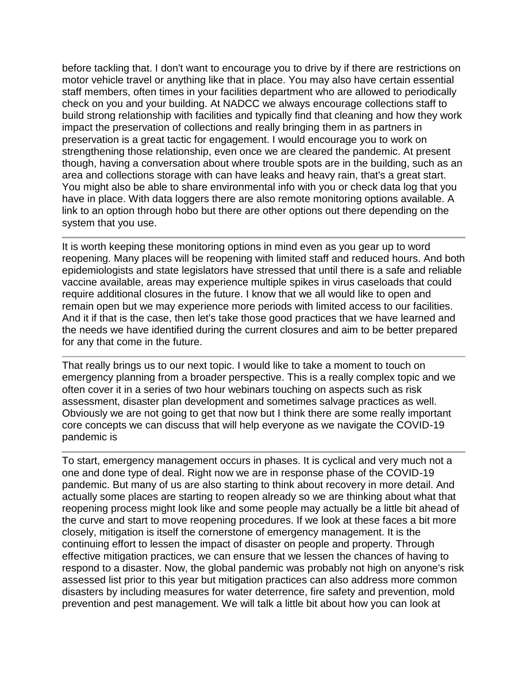before tackling that. I don't want to encourage you to drive by if there are restrictions on motor vehicle travel or anything like that in place. You may also have certain essential staff members, often times in your facilities department who are allowed to periodically check on you and your building. At NADCC we always encourage collections staff to build strong relationship with facilities and typically find that cleaning and how they work impact the preservation of collections and really bringing them in as partners in preservation is a great tactic for engagement. I would encourage you to work on strengthening those relationship, even once we are cleared the pandemic. At present though, having a conversation about where trouble spots are in the building, such as an area and collections storage with can have leaks and heavy rain, that's a great start. You might also be able to share environmental info with you or check data log that you have in place. With data loggers there are also remote monitoring options available. A link to an option through hobo but there are other options out there depending on the system that you use.

It is worth keeping these monitoring options in mind even as you gear up to word reopening. Many places will be reopening with limited staff and reduced hours. And both epidemiologists and state legislators have stressed that until there is a safe and reliable vaccine available, areas may experience multiple spikes in virus caseloads that could require additional closures in the future. I know that we all would like to open and remain open but we may experience more periods with limited access to our facilities. And it if that is the case, then let's take those good practices that we have learned and the needs we have identified during the current closures and aim to be better prepared for any that come in the future.

That really brings us to our next topic. I would like to take a moment to touch on emergency planning from a broader perspective. This is a really complex topic and we often cover it in a series of two hour webinars touching on aspects such as risk assessment, disaster plan development and sometimes salvage practices as well. Obviously we are not going to get that now but I think there are some really important core concepts we can discuss that will help everyone as we navigate the COVID-19 pandemic is

To start, emergency management occurs in phases. It is cyclical and very much not a one and done type of deal. Right now we are in response phase of the COVID-19 pandemic. But many of us are also starting to think about recovery in more detail. And actually some places are starting to reopen already so we are thinking about what that reopening process might look like and some people may actually be a little bit ahead of the curve and start to move reopening procedures. If we look at these faces a bit more closely, mitigation is itself the cornerstone of emergency management. It is the continuing effort to lessen the impact of disaster on people and property. Through effective mitigation practices, we can ensure that we lessen the chances of having to respond to a disaster. Now, the global pandemic was probably not high on anyone's risk assessed list prior to this year but mitigation practices can also address more common disasters by including measures for water deterrence, fire safety and prevention, mold prevention and pest management. We will talk a little bit about how you can look at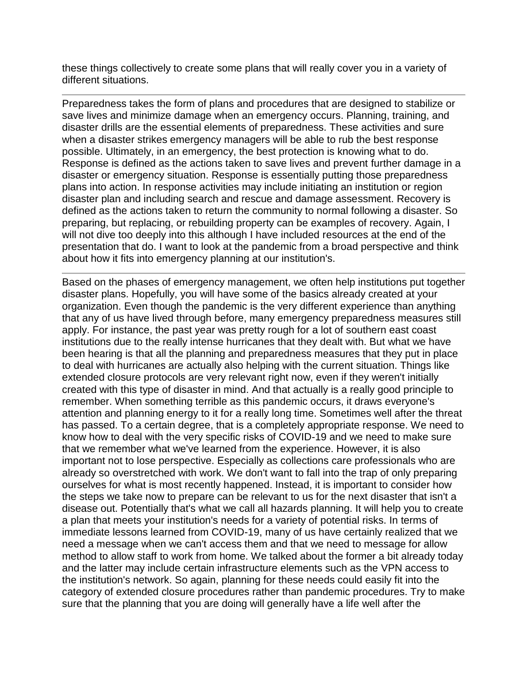these things collectively to create some plans that will really cover you in a variety of different situations.

Preparedness takes the form of plans and procedures that are designed to stabilize or save lives and minimize damage when an emergency occurs. Planning, training, and disaster drills are the essential elements of preparedness. These activities and sure when a disaster strikes emergency managers will be able to rub the best response possible. Ultimately, in an emergency, the best protection is knowing what to do. Response is defined as the actions taken to save lives and prevent further damage in a disaster or emergency situation. Response is essentially putting those preparedness plans into action. In response activities may include initiating an institution or region disaster plan and including search and rescue and damage assessment. Recovery is defined as the actions taken to return the community to normal following a disaster. So preparing, but replacing, or rebuilding property can be examples of recovery. Again, I will not dive too deeply into this although I have included resources at the end of the presentation that do. I want to look at the pandemic from a broad perspective and think about how it fits into emergency planning at our institution's.

Based on the phases of emergency management, we often help institutions put together disaster plans. Hopefully, you will have some of the basics already created at your organization. Even though the pandemic is the very different experience than anything that any of us have lived through before, many emergency preparedness measures still apply. For instance, the past year was pretty rough for a lot of southern east coast institutions due to the really intense hurricanes that they dealt with. But what we have been hearing is that all the planning and preparedness measures that they put in place to deal with hurricanes are actually also helping with the current situation. Things like extended closure protocols are very relevant right now, even if they weren't initially created with this type of disaster in mind. And that actually is a really good principle to remember. When something terrible as this pandemic occurs, it draws everyone's attention and planning energy to it for a really long time. Sometimes well after the threat has passed. To a certain degree, that is a completely appropriate response. We need to know how to deal with the very specific risks of COVID-19 and we need to make sure that we remember what we've learned from the experience. However, it is also important not to lose perspective. Especially as collections care professionals who are already so overstretched with work. We don't want to fall into the trap of only preparing ourselves for what is most recently happened. Instead, it is important to consider how the steps we take now to prepare can be relevant to us for the next disaster that isn't a disease out. Potentially that's what we call all hazards planning. It will help you to create a plan that meets your institution's needs for a variety of potential risks. In terms of immediate lessons learned from COVID-19, many of us have certainly realized that we need a message when we can't access them and that we need to message for allow method to allow staff to work from home. We talked about the former a bit already today and the latter may include certain infrastructure elements such as the VPN access to the institution's network. So again, planning for these needs could easily fit into the category of extended closure procedures rather than pandemic procedures. Try to make sure that the planning that you are doing will generally have a life well after the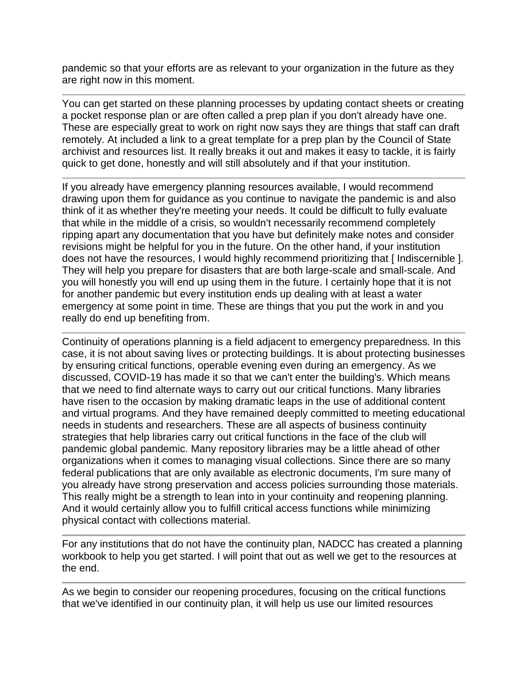pandemic so that your efforts are as relevant to your organization in the future as they are right now in this moment.

You can get started on these planning processes by updating contact sheets or creating a pocket response plan or are often called a prep plan if you don't already have one. These are especially great to work on right now says they are things that staff can draft remotely. At included a link to a great template for a prep plan by the Council of State archivist and resources list. It really breaks it out and makes it easy to tackle, it is fairly quick to get done, honestly and will still absolutely and if that your institution.

If you already have emergency planning resources available, I would recommend drawing upon them for guidance as you continue to navigate the pandemic is and also think of it as whether they're meeting your needs. It could be difficult to fully evaluate that while in the middle of a crisis, so wouldn't necessarily recommend completely ripping apart any documentation that you have but definitely make notes and consider revisions might be helpful for you in the future. On the other hand, if your institution does not have the resources, I would highly recommend prioritizing that [ Indiscernible ]. They will help you prepare for disasters that are both large-scale and small-scale. And you will honestly you will end up using them in the future. I certainly hope that it is not for another pandemic but every institution ends up dealing with at least a water emergency at some point in time. These are things that you put the work in and you really do end up benefiting from.

Continuity of operations planning is a field adjacent to emergency preparedness. In this case, it is not about saving lives or protecting buildings. It is about protecting businesses by ensuring critical functions, operable evening even during an emergency. As we discussed, COVID-19 has made it so that we can't enter the building's. Which means that we need to find alternate ways to carry out our critical functions. Many libraries have risen to the occasion by making dramatic leaps in the use of additional content and virtual programs. And they have remained deeply committed to meeting educational needs in students and researchers. These are all aspects of business continuity strategies that help libraries carry out critical functions in the face of the club will pandemic global pandemic. Many repository libraries may be a little ahead of other organizations when it comes to managing visual collections. Since there are so many federal publications that are only available as electronic documents, I'm sure many of you already have strong preservation and access policies surrounding those materials. This really might be a strength to lean into in your continuity and reopening planning. And it would certainly allow you to fulfill critical access functions while minimizing physical contact with collections material.

For any institutions that do not have the continuity plan, NADCC has created a planning workbook to help you get started. I will point that out as well we get to the resources at the end.

As we begin to consider our reopening procedures, focusing on the critical functions that we've identified in our continuity plan, it will help us use our limited resources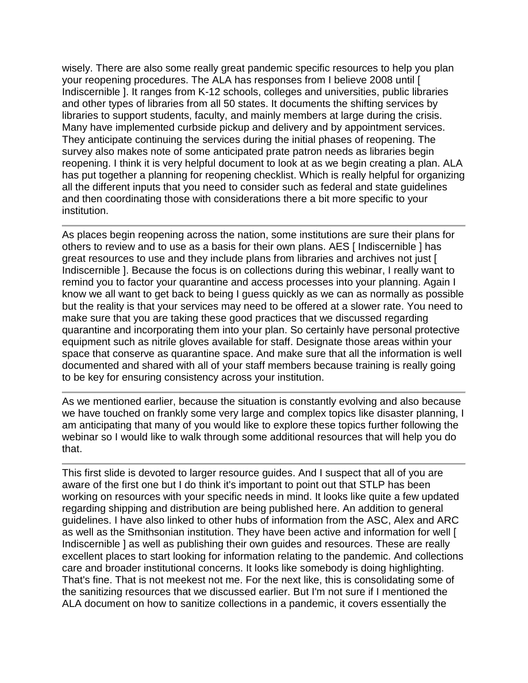wisely. There are also some really great pandemic specific resources to help you plan your reopening procedures. The ALA has responses from I believe 2008 until [ Indiscernible ]. It ranges from K-12 schools, colleges and universities, public libraries and other types of libraries from all 50 states. It documents the shifting services by libraries to support students, faculty, and mainly members at large during the crisis. Many have implemented curbside pickup and delivery and by appointment services. They anticipate continuing the services during the initial phases of reopening. The survey also makes note of some anticipated prate patron needs as libraries begin reopening. I think it is very helpful document to look at as we begin creating a plan. ALA has put together a planning for reopening checklist. Which is really helpful for organizing all the different inputs that you need to consider such as federal and state guidelines and then coordinating those with considerations there a bit more specific to your institution.

As places begin reopening across the nation, some institutions are sure their plans for others to review and to use as a basis for their own plans. AES [ Indiscernible ] has great resources to use and they include plans from libraries and archives not just [ Indiscernible ]. Because the focus is on collections during this webinar, I really want to remind you to factor your quarantine and access processes into your planning. Again I know we all want to get back to being I guess quickly as we can as normally as possible but the reality is that your services may need to be offered at a slower rate. You need to make sure that you are taking these good practices that we discussed regarding quarantine and incorporating them into your plan. So certainly have personal protective equipment such as nitrile gloves available for staff. Designate those areas within your space that conserve as quarantine space. And make sure that all the information is well documented and shared with all of your staff members because training is really going to be key for ensuring consistency across your institution.

As we mentioned earlier, because the situation is constantly evolving and also because we have touched on frankly some very large and complex topics like disaster planning, I am anticipating that many of you would like to explore these topics further following the webinar so I would like to walk through some additional resources that will help you do that.

This first slide is devoted to larger resource guides. And I suspect that all of you are aware of the first one but I do think it's important to point out that STLP has been working on resources with your specific needs in mind. It looks like quite a few updated regarding shipping and distribution are being published here. An addition to general guidelines. I have also linked to other hubs of information from the ASC, Alex and ARC as well as the Smithsonian institution. They have been active and information for well [ Indiscernible ] as well as publishing their own guides and resources. These are really excellent places to start looking for information relating to the pandemic. And collections care and broader institutional concerns. It looks like somebody is doing highlighting. That's fine. That is not meekest not me. For the next like, this is consolidating some of the sanitizing resources that we discussed earlier. But I'm not sure if I mentioned the ALA document on how to sanitize collections in a pandemic, it covers essentially the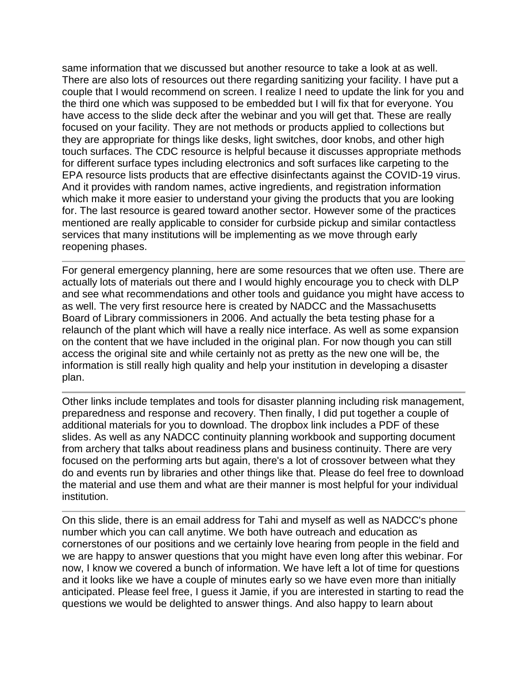same information that we discussed but another resource to take a look at as well. There are also lots of resources out there regarding sanitizing your facility. I have put a couple that I would recommend on screen. I realize I need to update the link for you and the third one which was supposed to be embedded but I will fix that for everyone. You have access to the slide deck after the webinar and you will get that. These are really focused on your facility. They are not methods or products applied to collections but they are appropriate for things like desks, light switches, door knobs, and other high touch surfaces. The CDC resource is helpful because it discusses appropriate methods for different surface types including electronics and soft surfaces like carpeting to the EPA resource lists products that are effective disinfectants against the COVID-19 virus. And it provides with random names, active ingredients, and registration information which make it more easier to understand your giving the products that you are looking for. The last resource is geared toward another sector. However some of the practices mentioned are really applicable to consider for curbside pickup and similar contactless services that many institutions will be implementing as we move through early reopening phases.

For general emergency planning, here are some resources that we often use. There are actually lots of materials out there and I would highly encourage you to check with DLP and see what recommendations and other tools and guidance you might have access to as well. The very first resource here is created by NADCC and the Massachusetts Board of Library commissioners in 2006. And actually the beta testing phase for a relaunch of the plant which will have a really nice interface. As well as some expansion on the content that we have included in the original plan. For now though you can still access the original site and while certainly not as pretty as the new one will be, the information is still really high quality and help your institution in developing a disaster plan.

Other links include templates and tools for disaster planning including risk management, preparedness and response and recovery. Then finally, I did put together a couple of additional materials for you to download. The dropbox link includes a PDF of these slides. As well as any NADCC continuity planning workbook and supporting document from archery that talks about readiness plans and business continuity. There are very focused on the performing arts but again, there's a lot of crossover between what they do and events run by libraries and other things like that. Please do feel free to download the material and use them and what are their manner is most helpful for your individual institution.

On this slide, there is an email address for Tahi and myself as well as NADCC's phone number which you can call anytime. We both have outreach and education as cornerstones of our positions and we certainly love hearing from people in the field and we are happy to answer questions that you might have even long after this webinar. For now, I know we covered a bunch of information. We have left a lot of time for questions and it looks like we have a couple of minutes early so we have even more than initially anticipated. Please feel free, I guess it Jamie, if you are interested in starting to read the questions we would be delighted to answer things. And also happy to learn about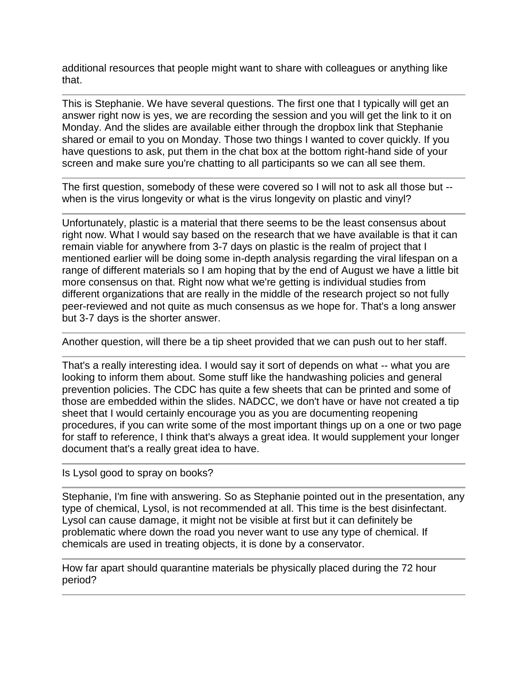additional resources that people might want to share with colleagues or anything like that.

This is Stephanie. We have several questions. The first one that I typically will get an answer right now is yes, we are recording the session and you will get the link to it on Monday. And the slides are available either through the dropbox link that Stephanie shared or email to you on Monday. Those two things I wanted to cover quickly. If you have questions to ask, put them in the chat box at the bottom right-hand side of your screen and make sure you're chatting to all participants so we can all see them.

The first question, somebody of these were covered so I will not to ask all those but - when is the virus longevity or what is the virus longevity on plastic and vinyl?

Unfortunately, plastic is a material that there seems to be the least consensus about right now. What I would say based on the research that we have available is that it can remain viable for anywhere from 3-7 days on plastic is the realm of project that I mentioned earlier will be doing some in-depth analysis regarding the viral lifespan on a range of different materials so I am hoping that by the end of August we have a little bit more consensus on that. Right now what we're getting is individual studies from different organizations that are really in the middle of the research project so not fully peer-reviewed and not quite as much consensus as we hope for. That's a long answer but 3-7 days is the shorter answer.

Another question, will there be a tip sheet provided that we can push out to her staff.

That's a really interesting idea. I would say it sort of depends on what -- what you are looking to inform them about. Some stuff like the handwashing policies and general prevention policies. The CDC has quite a few sheets that can be printed and some of those are embedded within the slides. NADCC, we don't have or have not created a tip sheet that I would certainly encourage you as you are documenting reopening procedures, if you can write some of the most important things up on a one or two page for staff to reference, I think that's always a great idea. It would supplement your longer document that's a really great idea to have.

## Is Lysol good to spray on books?

Stephanie, I'm fine with answering. So as Stephanie pointed out in the presentation, any type of chemical, Lysol, is not recommended at all. This time is the best disinfectant. Lysol can cause damage, it might not be visible at first but it can definitely be problematic where down the road you never want to use any type of chemical. If chemicals are used in treating objects, it is done by a conservator.

How far apart should quarantine materials be physically placed during the 72 hour period?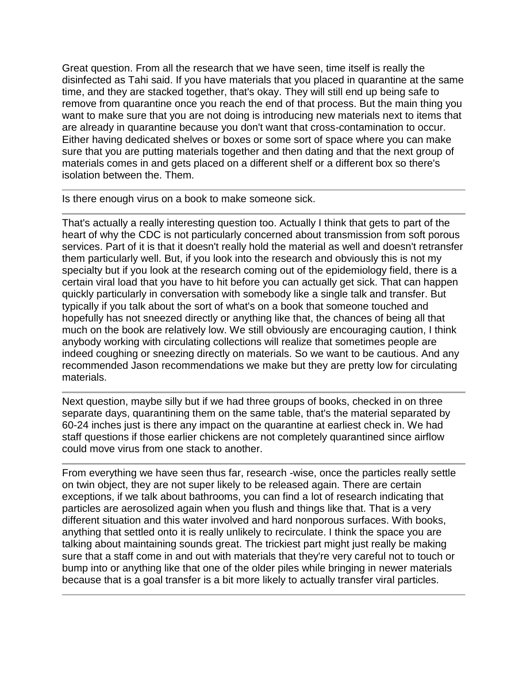Great question. From all the research that we have seen, time itself is really the disinfected as Tahi said. If you have materials that you placed in quarantine at the same time, and they are stacked together, that's okay. They will still end up being safe to remove from quarantine once you reach the end of that process. But the main thing you want to make sure that you are not doing is introducing new materials next to items that are already in quarantine because you don't want that cross-contamination to occur. Either having dedicated shelves or boxes or some sort of space where you can make sure that you are putting materials together and then dating and that the next group of materials comes in and gets placed on a different shelf or a different box so there's isolation between the. Them.

Is there enough virus on a book to make someone sick.

That's actually a really interesting question too. Actually I think that gets to part of the heart of why the CDC is not particularly concerned about transmission from soft porous services. Part of it is that it doesn't really hold the material as well and doesn't retransfer them particularly well. But, if you look into the research and obviously this is not my specialty but if you look at the research coming out of the epidemiology field, there is a certain viral load that you have to hit before you can actually get sick. That can happen quickly particularly in conversation with somebody like a single talk and transfer. But typically if you talk about the sort of what's on a book that someone touched and hopefully has not sneezed directly or anything like that, the chances of being all that much on the book are relatively low. We still obviously are encouraging caution, I think anybody working with circulating collections will realize that sometimes people are indeed coughing or sneezing directly on materials. So we want to be cautious. And any recommended Jason recommendations we make but they are pretty low for circulating materials.

Next question, maybe silly but if we had three groups of books, checked in on three separate days, quarantining them on the same table, that's the material separated by 60-24 inches just is there any impact on the quarantine at earliest check in. We had staff questions if those earlier chickens are not completely quarantined since airflow could move virus from one stack to another.

From everything we have seen thus far, research -wise, once the particles really settle on twin object, they are not super likely to be released again. There are certain exceptions, if we talk about bathrooms, you can find a lot of research indicating that particles are aerosolized again when you flush and things like that. That is a very different situation and this water involved and hard nonporous surfaces. With books, anything that settled onto it is really unlikely to recirculate. I think the space you are talking about maintaining sounds great. The trickiest part might just really be making sure that a staff come in and out with materials that they're very careful not to touch or bump into or anything like that one of the older piles while bringing in newer materials because that is a goal transfer is a bit more likely to actually transfer viral particles.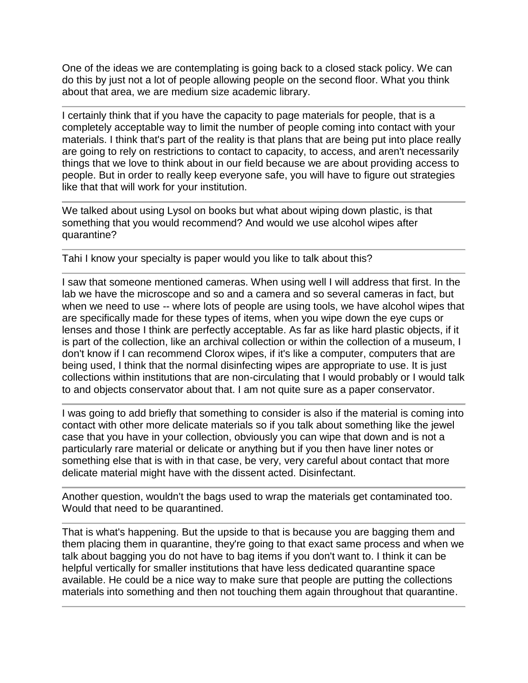One of the ideas we are contemplating is going back to a closed stack policy. We can do this by just not a lot of people allowing people on the second floor. What you think about that area, we are medium size academic library.

I certainly think that if you have the capacity to page materials for people, that is a completely acceptable way to limit the number of people coming into contact with your materials. I think that's part of the reality is that plans that are being put into place really are going to rely on restrictions to contact to capacity, to access, and aren't necessarily things that we love to think about in our field because we are about providing access to people. But in order to really keep everyone safe, you will have to figure out strategies like that that will work for your institution.

We talked about using Lysol on books but what about wiping down plastic, is that something that you would recommend? And would we use alcohol wipes after quarantine?

Tahi I know your specialty is paper would you like to talk about this?

I saw that someone mentioned cameras. When using well I will address that first. In the lab we have the microscope and so and a camera and so several cameras in fact, but when we need to use -- where lots of people are using tools, we have alcohol wipes that are specifically made for these types of items, when you wipe down the eye cups or lenses and those I think are perfectly acceptable. As far as like hard plastic objects, if it is part of the collection, like an archival collection or within the collection of a museum, I don't know if I can recommend Clorox wipes, if it's like a computer, computers that are being used, I think that the normal disinfecting wipes are appropriate to use. It is just collections within institutions that are non-circulating that I would probably or I would talk to and objects conservator about that. I am not quite sure as a paper conservator.

I was going to add briefly that something to consider is also if the material is coming into contact with other more delicate materials so if you talk about something like the jewel case that you have in your collection, obviously you can wipe that down and is not a particularly rare material or delicate or anything but if you then have liner notes or something else that is with in that case, be very, very careful about contact that more delicate material might have with the dissent acted. Disinfectant.

Another question, wouldn't the bags used to wrap the materials get contaminated too. Would that need to be quarantined.

That is what's happening. But the upside to that is because you are bagging them and them placing them in quarantine, they're going to that exact same process and when we talk about bagging you do not have to bag items if you don't want to. I think it can be helpful vertically for smaller institutions that have less dedicated quarantine space available. He could be a nice way to make sure that people are putting the collections materials into something and then not touching them again throughout that quarantine.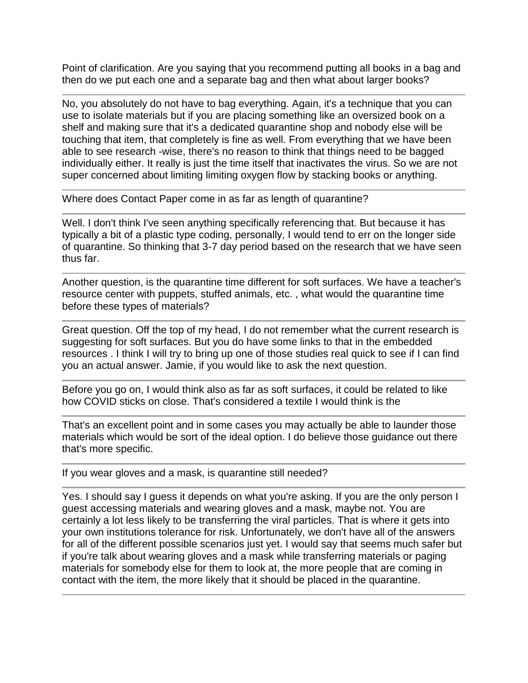Point of clarification. Are you saying that you recommend putting all books in a bag and then do we put each one and a separate bag and then what about larger books?

No, you absolutely do not have to bag everything. Again, it's a technique that you can use to isolate materials but if you are placing something like an oversized book on a shelf and making sure that it's a dedicated quarantine shop and nobody else will be touching that item, that completely is fine as well. From everything that we have been able to see research -wise, there's no reason to think that things need to be bagged individually either. It really is just the time itself that inactivates the virus. So we are not super concerned about limiting limiting oxygen flow by stacking books or anything.

Where does Contact Paper come in as far as length of quarantine?

Well. I don't think I've seen anything specifically referencing that. But because it has typically a bit of a plastic type coding, personally, I would tend to err on the longer side of quarantine. So thinking that 3-7 day period based on the research that we have seen thus far.

Another question, is the quarantine time different for soft surfaces. We have a teacher's resource center with puppets, stuffed animals, etc. , what would the quarantine time before these types of materials?

Great question. Off the top of my head, I do not remember what the current research is suggesting for soft surfaces. But you do have some links to that in the embedded resources . I think I will try to bring up one of those studies real quick to see if I can find you an actual answer. Jamie, if you would like to ask the next question.

Before you go on, I would think also as far as soft surfaces, it could be related to like how COVID sticks on close. That's considered a textile I would think is the

That's an excellent point and in some cases you may actually be able to launder those materials which would be sort of the ideal option. I do believe those guidance out there that's more specific.

If you wear gloves and a mask, is quarantine still needed?

Yes. I should say I guess it depends on what you're asking. If you are the only person I guest accessing materials and wearing gloves and a mask, maybe not. You are certainly a lot less likely to be transferring the viral particles. That is where it gets into your own institutions tolerance for risk. Unfortunately, we don't have all of the answers for all of the different possible scenarios just yet. I would say that seems much safer but if you're talk about wearing gloves and a mask while transferring materials or paging materials for somebody else for them to look at, the more people that are coming in contact with the item, the more likely that it should be placed in the quarantine.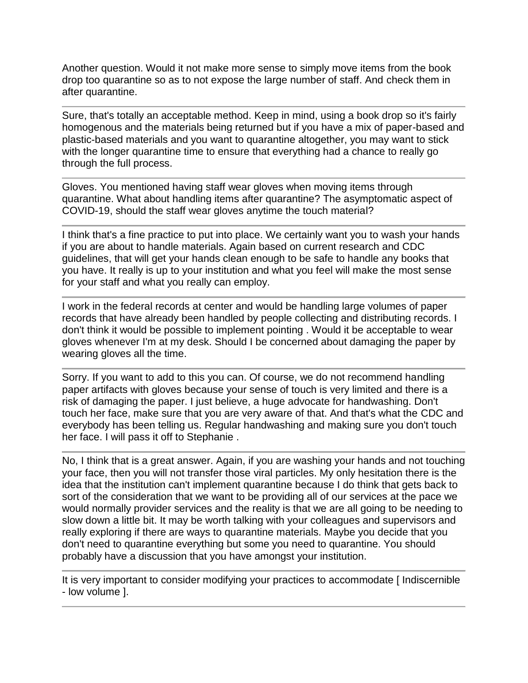Another question. Would it not make more sense to simply move items from the book drop too quarantine so as to not expose the large number of staff. And check them in after quarantine.

Sure, that's totally an acceptable method. Keep in mind, using a book drop so it's fairly homogenous and the materials being returned but if you have a mix of paper-based and plastic-based materials and you want to quarantine altogether, you may want to stick with the longer quarantine time to ensure that everything had a chance to really go through the full process.

Gloves. You mentioned having staff wear gloves when moving items through quarantine. What about handling items after quarantine? The asymptomatic aspect of COVID-19, should the staff wear gloves anytime the touch material?

I think that's a fine practice to put into place. We certainly want you to wash your hands if you are about to handle materials. Again based on current research and CDC guidelines, that will get your hands clean enough to be safe to handle any books that you have. It really is up to your institution and what you feel will make the most sense for your staff and what you really can employ.

I work in the federal records at center and would be handling large volumes of paper records that have already been handled by people collecting and distributing records. I don't think it would be possible to implement pointing . Would it be acceptable to wear gloves whenever I'm at my desk. Should I be concerned about damaging the paper by wearing gloves all the time.

Sorry. If you want to add to this you can. Of course, we do not recommend handling paper artifacts with gloves because your sense of touch is very limited and there is a risk of damaging the paper. I just believe, a huge advocate for handwashing. Don't touch her face, make sure that you are very aware of that. And that's what the CDC and everybody has been telling us. Regular handwashing and making sure you don't touch her face. I will pass it off to Stephanie .

No, I think that is a great answer. Again, if you are washing your hands and not touching your face, then you will not transfer those viral particles. My only hesitation there is the idea that the institution can't implement quarantine because I do think that gets back to sort of the consideration that we want to be providing all of our services at the pace we would normally provider services and the reality is that we are all going to be needing to slow down a little bit. It may be worth talking with your colleagues and supervisors and really exploring if there are ways to quarantine materials. Maybe you decide that you don't need to quarantine everything but some you need to quarantine. You should probably have a discussion that you have amongst your institution.

It is very important to consider modifying your practices to accommodate [Indiscernible - low volume ].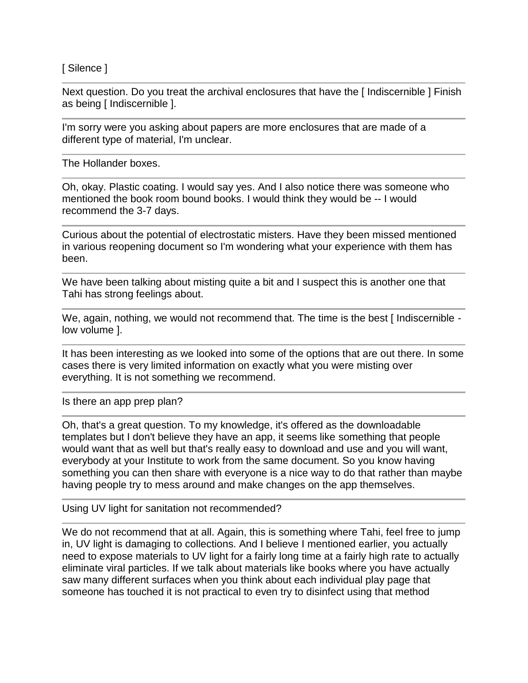[ Silence ]

Next question. Do you treat the archival enclosures that have the [Indiscernible ] Finish as being [ Indiscernible ].

I'm sorry were you asking about papers are more enclosures that are made of a different type of material, I'm unclear.

The Hollander boxes.

Oh, okay. Plastic coating. I would say yes. And I also notice there was someone who mentioned the book room bound books. I would think they would be -- I would recommend the 3-7 days.

Curious about the potential of electrostatic misters. Have they been missed mentioned in various reopening document so I'm wondering what your experience with them has been.

We have been talking about misting quite a bit and I suspect this is another one that Tahi has strong feelings about.

We, again, nothing, we would not recommend that. The time is the best [Indiscernible low volume ].

It has been interesting as we looked into some of the options that are out there. In some cases there is very limited information on exactly what you were misting over everything. It is not something we recommend.

Is there an app prep plan?

Oh, that's a great question. To my knowledge, it's offered as the downloadable templates but I don't believe they have an app, it seems like something that people would want that as well but that's really easy to download and use and you will want, everybody at your Institute to work from the same document. So you know having something you can then share with everyone is a nice way to do that rather than maybe having people try to mess around and make changes on the app themselves.

Using UV light for sanitation not recommended?

We do not recommend that at all. Again, this is something where Tahi, feel free to jump in, UV light is damaging to collections. And I believe I mentioned earlier, you actually need to expose materials to UV light for a fairly long time at a fairly high rate to actually eliminate viral particles. If we talk about materials like books where you have actually saw many different surfaces when you think about each individual play page that someone has touched it is not practical to even try to disinfect using that method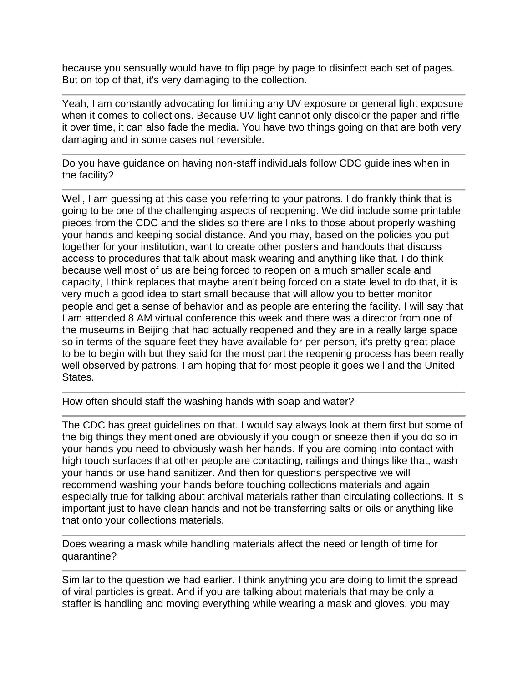because you sensually would have to flip page by page to disinfect each set of pages. But on top of that, it's very damaging to the collection.

Yeah, I am constantly advocating for limiting any UV exposure or general light exposure when it comes to collections. Because UV light cannot only discolor the paper and riffle it over time, it can also fade the media. You have two things going on that are both very damaging and in some cases not reversible.

Do you have guidance on having non-staff individuals follow CDC guidelines when in the facility?

Well, I am guessing at this case you referring to your patrons. I do frankly think that is going to be one of the challenging aspects of reopening. We did include some printable pieces from the CDC and the slides so there are links to those about properly washing your hands and keeping social distance. And you may, based on the policies you put together for your institution, want to create other posters and handouts that discuss access to procedures that talk about mask wearing and anything like that. I do think because well most of us are being forced to reopen on a much smaller scale and capacity, I think replaces that maybe aren't being forced on a state level to do that, it is very much a good idea to start small because that will allow you to better monitor people and get a sense of behavior and as people are entering the facility. I will say that I am attended 8 AM virtual conference this week and there was a director from one of the museums in Beijing that had actually reopened and they are in a really large space so in terms of the square feet they have available for per person, it's pretty great place to be to begin with but they said for the most part the reopening process has been really well observed by patrons. I am hoping that for most people it goes well and the United States.

How often should staff the washing hands with soap and water?

The CDC has great guidelines on that. I would say always look at them first but some of the big things they mentioned are obviously if you cough or sneeze then if you do so in your hands you need to obviously wash her hands. If you are coming into contact with high touch surfaces that other people are contacting, railings and things like that, wash your hands or use hand sanitizer. And then for questions perspective we will recommend washing your hands before touching collections materials and again especially true for talking about archival materials rather than circulating collections. It is important just to have clean hands and not be transferring salts or oils or anything like that onto your collections materials.

Does wearing a mask while handling materials affect the need or length of time for quarantine?

Similar to the question we had earlier. I think anything you are doing to limit the spread of viral particles is great. And if you are talking about materials that may be only a staffer is handling and moving everything while wearing a mask and gloves, you may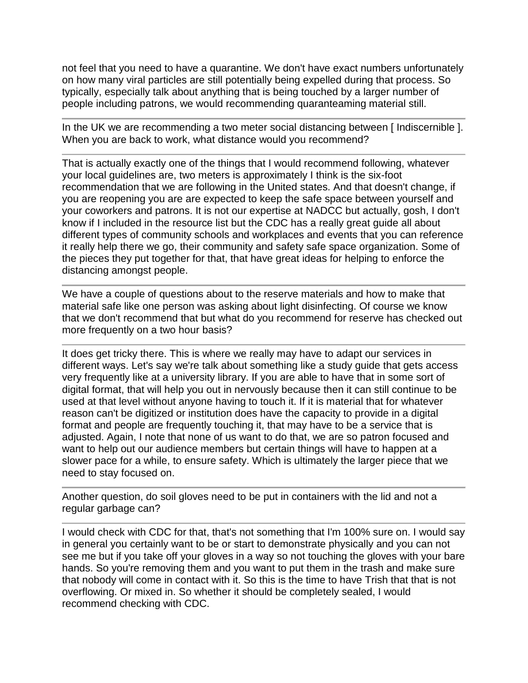not feel that you need to have a quarantine. We don't have exact numbers unfortunately on how many viral particles are still potentially being expelled during that process. So typically, especially talk about anything that is being touched by a larger number of people including patrons, we would recommending quaranteaming material still.

In the UK we are recommending a two meter social distancing between [ Indiscernible ]. When you are back to work, what distance would you recommend?

That is actually exactly one of the things that I would recommend following, whatever your local guidelines are, two meters is approximately I think is the six-foot recommendation that we are following in the United states. And that doesn't change, if you are reopening you are are expected to keep the safe space between yourself and your coworkers and patrons. It is not our expertise at NADCC but actually, gosh, I don't know if I included in the resource list but the CDC has a really great guide all about different types of community schools and workplaces and events that you can reference it really help there we go, their community and safety safe space organization. Some of the pieces they put together for that, that have great ideas for helping to enforce the distancing amongst people.

We have a couple of questions about to the reserve materials and how to make that material safe like one person was asking about light disinfecting. Of course we know that we don't recommend that but what do you recommend for reserve has checked out more frequently on a two hour basis?

It does get tricky there. This is where we really may have to adapt our services in different ways. Let's say we're talk about something like a study guide that gets access very frequently like at a university library. If you are able to have that in some sort of digital format, that will help you out in nervously because then it can still continue to be used at that level without anyone having to touch it. If it is material that for whatever reason can't be digitized or institution does have the capacity to provide in a digital format and people are frequently touching it, that may have to be a service that is adjusted. Again, I note that none of us want to do that, we are so patron focused and want to help out our audience members but certain things will have to happen at a slower pace for a while, to ensure safety. Which is ultimately the larger piece that we need to stay focused on.

Another question, do soil gloves need to be put in containers with the lid and not a regular garbage can?

I would check with CDC for that, that's not something that I'm 100% sure on. I would say in general you certainly want to be or start to demonstrate physically and you can not see me but if you take off your gloves in a way so not touching the gloves with your bare hands. So you're removing them and you want to put them in the trash and make sure that nobody will come in contact with it. So this is the time to have Trish that that is not overflowing. Or mixed in. So whether it should be completely sealed, I would recommend checking with CDC.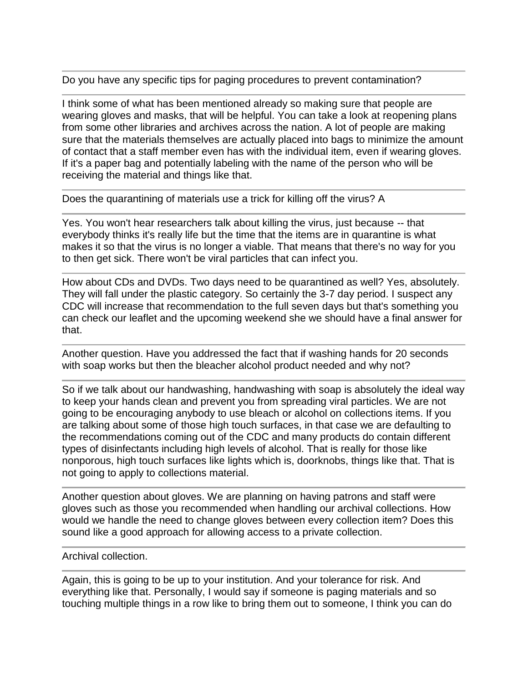Do you have any specific tips for paging procedures to prevent contamination?

I think some of what has been mentioned already so making sure that people are wearing gloves and masks, that will be helpful. You can take a look at reopening plans from some other libraries and archives across the nation. A lot of people are making sure that the materials themselves are actually placed into bags to minimize the amount of contact that a staff member even has with the individual item, even if wearing gloves. If it's a paper bag and potentially labeling with the name of the person who will be receiving the material and things like that.

Does the quarantining of materials use a trick for killing off the virus? A

Yes. You won't hear researchers talk about killing the virus, just because -- that everybody thinks it's really life but the time that the items are in quarantine is what makes it so that the virus is no longer a viable. That means that there's no way for you to then get sick. There won't be viral particles that can infect you.

How about CDs and DVDs. Two days need to be quarantined as well? Yes, absolutely. They will fall under the plastic category. So certainly the 3-7 day period. I suspect any CDC will increase that recommendation to the full seven days but that's something you can check our leaflet and the upcoming weekend she we should have a final answer for that.

Another question. Have you addressed the fact that if washing hands for 20 seconds with soap works but then the bleacher alcohol product needed and why not?

So if we talk about our handwashing, handwashing with soap is absolutely the ideal way to keep your hands clean and prevent you from spreading viral particles. We are not going to be encouraging anybody to use bleach or alcohol on collections items. If you are talking about some of those high touch surfaces, in that case we are defaulting to the recommendations coming out of the CDC and many products do contain different types of disinfectants including high levels of alcohol. That is really for those like nonporous, high touch surfaces like lights which is, doorknobs, things like that. That is not going to apply to collections material.

Another question about gloves. We are planning on having patrons and staff were gloves such as those you recommended when handling our archival collections. How would we handle the need to change gloves between every collection item? Does this sound like a good approach for allowing access to a private collection.

## Archival collection.

Again, this is going to be up to your institution. And your tolerance for risk. And everything like that. Personally, I would say if someone is paging materials and so touching multiple things in a row like to bring them out to someone, I think you can do